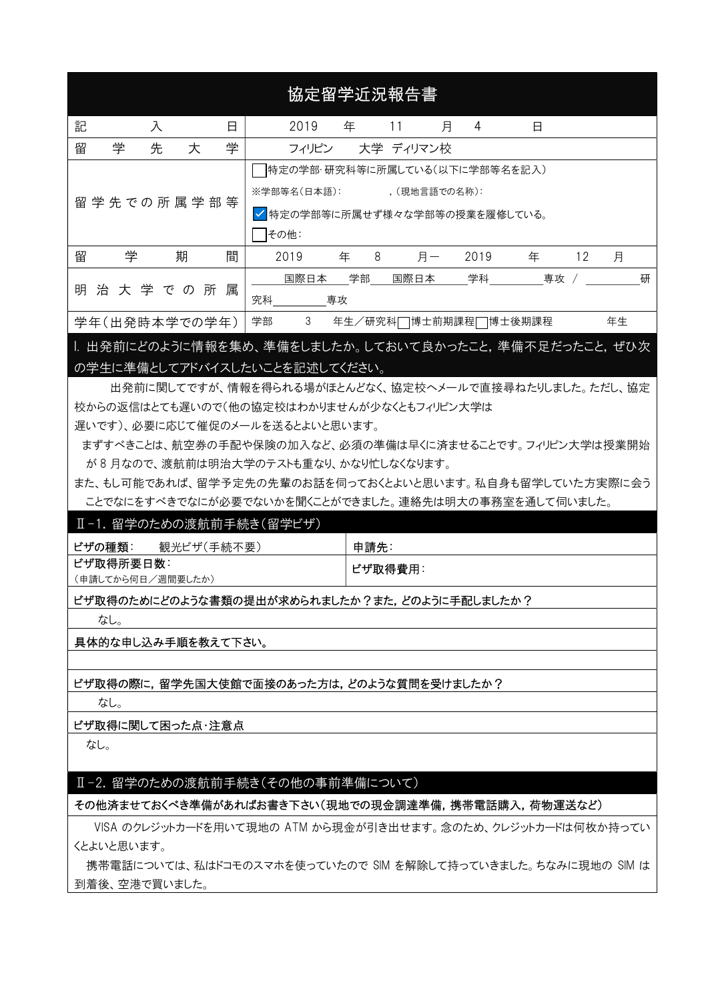| 協定留学近況報告書                                                                                                                     |                                                 |  |  |  |  |  |  |  |  |
|-------------------------------------------------------------------------------------------------------------------------------|-------------------------------------------------|--|--|--|--|--|--|--|--|
| 記<br>入<br>日                                                                                                                   | 2019<br>年<br>4<br>11<br>月<br>日                  |  |  |  |  |  |  |  |  |
| 学<br>学<br>留<br>先<br>大                                                                                                         | 大学 ディリマン校<br>フィリピン                              |  |  |  |  |  |  |  |  |
| 特定の学部・研究科等に所属している(以下に学部等名を記入)<br>※学部等名(日本語):<br>. (現地言語での名称):<br>留 学 先 での 所 属 学 部 等<br>√特定の学部等に所属せず様々な学部等の授業を履修している。<br> その他: |                                                 |  |  |  |  |  |  |  |  |
| 期<br>留<br>学<br>間                                                                                                              | 2019<br>年<br>8<br>月一<br>2019<br>12<br>年<br>月    |  |  |  |  |  |  |  |  |
| 属<br>明<br>治 大 学 で の 所                                                                                                         | 国際日本<br>学部<br>学科<br>国際日本<br>專攻<br>研<br>究科<br>専攻 |  |  |  |  |  |  |  |  |
| 学年(出発時本学での学年)                                                                                                                 | 3<br>学部<br>年生<br>年生/研究科□博士前期課程□博士後期課程           |  |  |  |  |  |  |  |  |

I. 出発前にどのように情報を集め、準備をしましたか。しておいて良かったこと,準備不足だったこと,ぜひ次 の学生に準備としてアドバイスしたいことを記述してください。

 出発前に関してですが、情報を得られる場がほとんどなく、協定校へメールで直接尋ねたりしました。ただし、協定 校からの返信はとても遅いので(他の協定校はわかりませんが少なくともフィリピン大学は

遅いです)、必要に応じて催促のメールを送るとよいと思います。

 まずすべきことは、航空券の手配や保険の加入など、必須の準備は早くに済ませることです。フィリピン大学は授業開始 が 8 月なので、渡航前は明治大学のテストも重なり、かなり忙しなくなります。

また、もし可能であれば、留学予定先の先輩のお話を伺っておくとよいと思います。私自身も留学していた方実際に会う ことでなにをすべきでなにが必要でないかを聞くことができました。連絡先は明大の事務室を通して伺いました。

#### Ⅱ-1. 留学のための渡航前手続き(留学ビザ)

| ビザの種類:<br>観光ビザ(手続不要) | 申請先∶      |
|----------------------|-----------|
| ビザ取得所要日数:            | │ ビザ取得費用: |
| (申請してから何日/週間要したか)    |           |

#### ビザ取得のためにどのような書類の提出が求められましたか?また, どのように手配しましたか?

なし。

具体的な申し込み手順を教えて下さい。

#### ビザ取得の際に,留学先国大使館で面接のあった方は,どのような質問を受けましたか?

なし。

#### ビザ取得に関して困った点・注意点

なし。

#### Ⅱ-2. 留学のための渡航前手続き(その他の事前準備について)

#### その他済ませておくべき準備があればお書き下さい(現地での現金調達準備,携帯電話購入,荷物運送など)

 VISA のクレジットカードを用いて現地の ATM から現金が引き出せます。念のため、クレジットカードは何枚か持ってい くとよいと思います。

携帯電話については、私はドコモのスマホを使っていたので SIM を解除して持っていきました。ちなみに現地の SIM は 到着後、空港で買いました。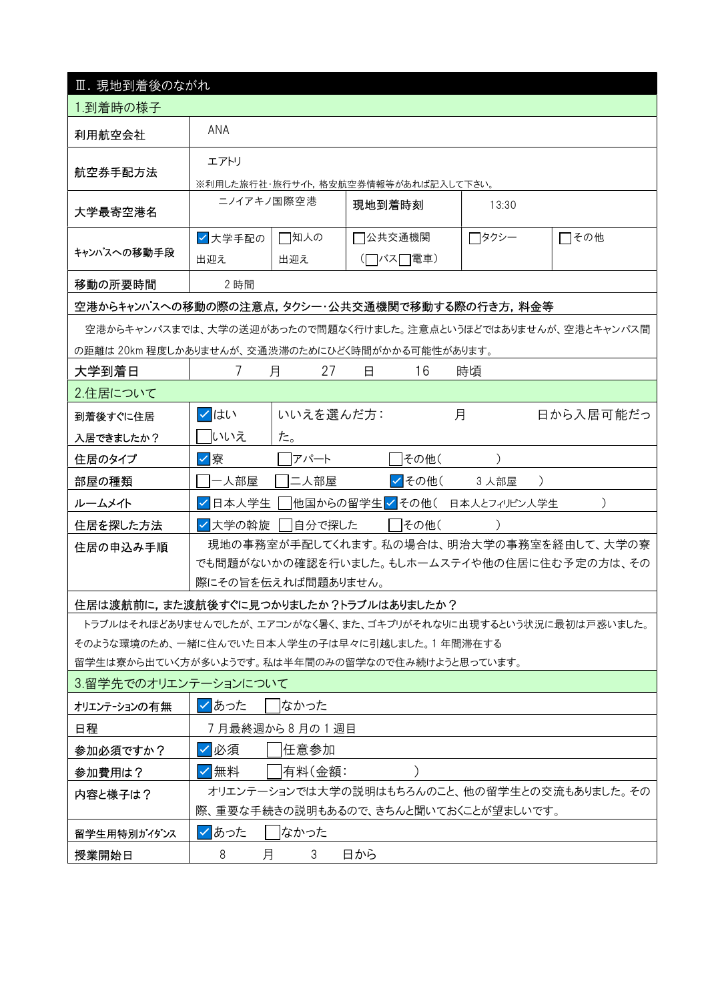| Ⅲ. 現地到着後のながれ                                                                                    |                                     |                                            |                                      |        |                                                                |  |  |  |  |  |  |
|-------------------------------------------------------------------------------------------------|-------------------------------------|--------------------------------------------|--------------------------------------|--------|----------------------------------------------------------------|--|--|--|--|--|--|
| 1.到着時の様子                                                                                        |                                     |                                            |                                      |        |                                                                |  |  |  |  |  |  |
| 利用航空会社                                                                                          | ANA                                 |                                            |                                      |        |                                                                |  |  |  |  |  |  |
| 航空券手配方法                                                                                         | エアトリ                                |                                            |                                      |        |                                                                |  |  |  |  |  |  |
|                                                                                                 | ※利用した旅行社・旅行サイト,格安航空券情報等があれば記入して下さい。 |                                            |                                      |        |                                                                |  |  |  |  |  |  |
| 大学最寄空港名                                                                                         | ニノイアキノ国際空港                          |                                            | 現地到着時刻                               | 13:30  |                                                                |  |  |  |  |  |  |
|                                                                                                 | √大学手配の                              | □知人の                                       | 7公共交通機関                              | ┌┐タクシー | □その他                                                           |  |  |  |  |  |  |
| キャンパスへの移動手段                                                                                     | 出迎え                                 | 出迎え                                        | (□バス□電車)                             |        |                                                                |  |  |  |  |  |  |
| 移動の所要時間                                                                                         | 2 時間                                |                                            |                                      |        |                                                                |  |  |  |  |  |  |
| 空港からキャンパスへの移動の際の注意点,タクシー・公共交通機関で移動する際の行き方,料金等                                                   |                                     |                                            |                                      |        |                                                                |  |  |  |  |  |  |
|                                                                                                 |                                     |                                            |                                      |        | 空港からキャンパスまでは、大学の送迎があったので問題なく行けました。注意点というほどではありませんが、空港とキャンパス間   |  |  |  |  |  |  |
| の距離は 20km 程度しかありませんが、交通渋滞のためにひどく時間がかかる可能性があります。                                                 |                                     |                                            |                                      |        |                                                                |  |  |  |  |  |  |
| 大学到着日                                                                                           | $\prime$                            | 27<br>月                                    | 16<br>日                              | 時頃     |                                                                |  |  |  |  |  |  |
| 2.住居について                                                                                        |                                     |                                            |                                      |        |                                                                |  |  |  |  |  |  |
| 到着後すぐに住居                                                                                        | ✓ はい                                | いいえを選んだ方:                                  |                                      | 月      | 日から入居可能だっ                                                      |  |  |  |  |  |  |
| 入居できましたか?                                                                                       | 「いいえ                                | た。                                         |                                      |        |                                                                |  |  |  |  |  |  |
| 住居のタイプ                                                                                          | ☑寮                                  | アパート                                       | その他(                                 |        |                                                                |  |  |  |  |  |  |
| 部屋の種類                                                                                           | 一人部屋                                | 二人部屋                                       | <mark>√</mark> その他(                  | 3 人部屋  | $\lambda$                                                      |  |  |  |  |  |  |
| ルームメイト                                                                                          | 日本人学生                               |                                            | 他国からの留学生 ✔ その他( 日本人とフィリピン人学生         |        |                                                                |  |  |  |  |  |  |
| 住居を探した方法                                                                                        | ┃✔┃大学の斡旋                            | 自分で探した                                     | その他(                                 |        |                                                                |  |  |  |  |  |  |
| 住居の申込み手順                                                                                        |                                     |                                            |                                      |        | 現地の事務室が手配してくれます。私の場合は、明治大学の事務室を経由して、大学の寮                       |  |  |  |  |  |  |
|                                                                                                 |                                     | でも問題がないかの確認を行いました。もしホームステイや他の住居に住む予定の方は、その |                                      |        |                                                                |  |  |  |  |  |  |
|                                                                                                 | 際にその旨を伝えれば問題ありません。                  |                                            |                                      |        |                                                                |  |  |  |  |  |  |
| 住居は渡航前に,また渡航後すぐに見つかりましたか?トラブルはありましたか?                                                           |                                     |                                            |                                      |        |                                                                |  |  |  |  |  |  |
|                                                                                                 |                                     |                                            |                                      |        | トラブルはそれほどありませんでしたが、エアコンがなく暑く、また、ゴキブリがそれなりに出現するという状況に最初は戸惑いました。 |  |  |  |  |  |  |
| そのような環境のため、一緒に住んでいた日本人学生の子は早々に引越しました。1年間滞在する<br>留学生は寮から出ていく方が多いようです。私は半年間のみの留学なので住み続けようと思っています。 |                                     |                                            |                                      |        |                                                                |  |  |  |  |  |  |
| 3.留学先でのオリエンテーションについて                                                                            |                                     |                                            |                                      |        |                                                                |  |  |  |  |  |  |
| オリエンテーションの有無                                                                                    | マあった                                | はかった                                       |                                      |        |                                                                |  |  |  |  |  |  |
| 日程                                                                                              |                                     | 7月最終週から8月の1週目                              |                                      |        |                                                                |  |  |  |  |  |  |
| 参加必須ですか?                                                                                        | ☑必須                                 | 任意参加                                       |                                      |        |                                                                |  |  |  |  |  |  |
| 参加費用は?                                                                                          | ✓│無料                                | 有料(金額:                                     |                                      |        |                                                                |  |  |  |  |  |  |
| 内容と様子は?                                                                                         |                                     |                                            |                                      |        | オリエンテーションでは大学の説明はもちろんのこと、他の留学生との交流もありました。その                    |  |  |  |  |  |  |
|                                                                                                 |                                     |                                            | 際、重要な手続きの説明もあるので、きちんと聞いておくことが望ましいです。 |        |                                                                |  |  |  |  |  |  |
| 留学生用特別がイダンス                                                                                     | ✓ あった                               | なかった                                       |                                      |        |                                                                |  |  |  |  |  |  |
| 授業開始日                                                                                           | 月<br>8                              | 3                                          | 日から                                  |        |                                                                |  |  |  |  |  |  |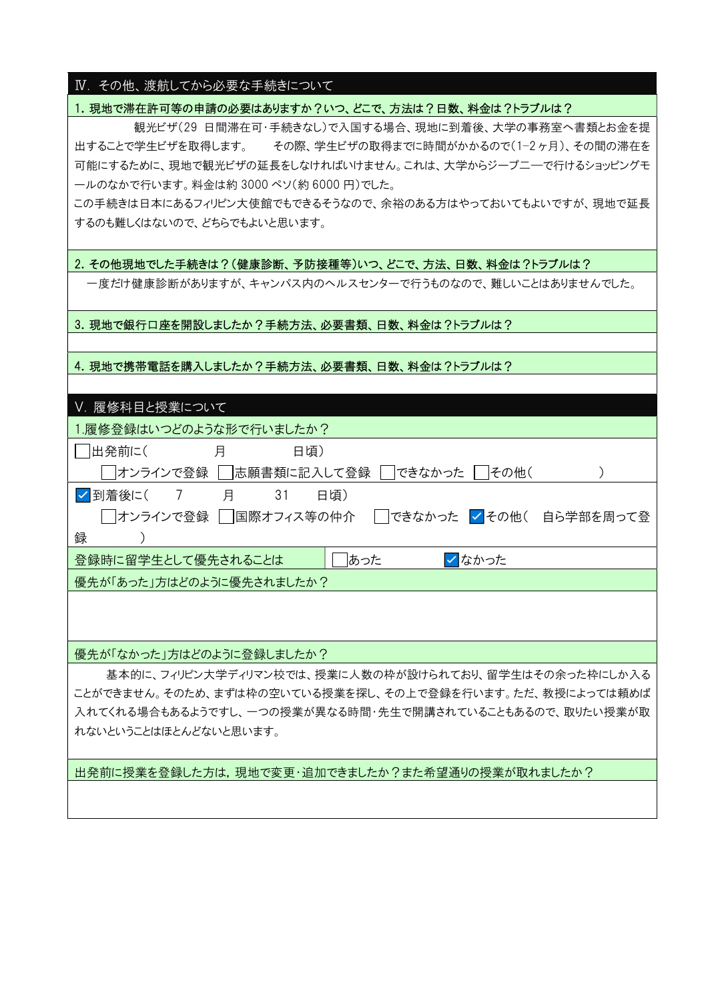#### Ⅳ. その他、渡航してから必要な手続きについて

### 1. 現地で滞在許可等の申請の必要はありますか?いつ、どこで、方法は?日数、料金は?トラブルは?

 観光ビザ(29 日間滞在可・手続きなし)で入国する場合、現地に到着後、大学の事務室へ書類とお金を提 出することで学生ビザを取得します。 その際、学生ビザの取得までに時間がかかるので(1−2 ヶ月)、その間の滞在を 可能にするために、現地で観光ビザの延長をしなければいけません。これは、大学からジープ二―で行けるショッピングモ ールのなかで行います。料金は約 3000 ペソ(約 6000 円)でした。

この手続きは日本にあるフィリピン大使館でもできるそうなので、余裕のある方はやっておいてもよいですが、現地で延長 するのも難しくはないので、どちらでもよいと思います。

### 2.その他現地でした手続きは?(健康診断、予防接種等)いつ、どこで、方法、日数、料金は?トラブルは?

一度だけ健康診断がありますが、キャンパス内のヘルスセンターで行うものなので、難しいことはありませんでした。

#### 3. 現地で銀行口座を開設しましたか?手続方法、必要書類、日数、料金は?トラブルは?

#### 4. 現地で携帯電話を購入しましたか?手続方法、必要書類、日数、料金は?トラブルは?

| Ⅴ. 履修科目と授業について                                                     |
|--------------------------------------------------------------------|
| 1.履修登録はいつどのような形で行いましたか?                                            |
| 出発前に(<br>月<br>日頃)                                                  |
| オンラインで登録    志願書類に記入して登録 <br> できなかった  <br> その他(                     |
| √ 到着後に(<br>$7\overline{ }$<br>31<br>月<br>日頃)                       |
| │ │オンラインで登録 │ │国際オフィス等の仲介 │ │できなかった <mark>✓ </mark> その他( 自ら学部を周って登 |
| 録                                                                  |
| あった<br><b>√なかった</b><br>登録時に留学生として優先されることは                          |
| 優先が「あった」方はどのように優先されましたか?                                           |
|                                                                    |
|                                                                    |
| 優先が「なかった」方はどのように登録しましたか?                                           |

 基本的に、フィリピン大学ディリマン校では、授業に人数の枠が設けられており、留学生はその余った枠にしか入る ことができません。そのため、まずは枠の空いている授業を探し、その上で登録を行います。ただ、教授によっては頼めば 入れてくれる場合もあるようですし、一つの授業が異なる時間・先生で開講されていることもあるので、取りたい授業が取 れないということはほとんどないと思います。

出発前に授業を登録した方は,現地で変更・追加できましたか?また希望通りの授業が取れましたか?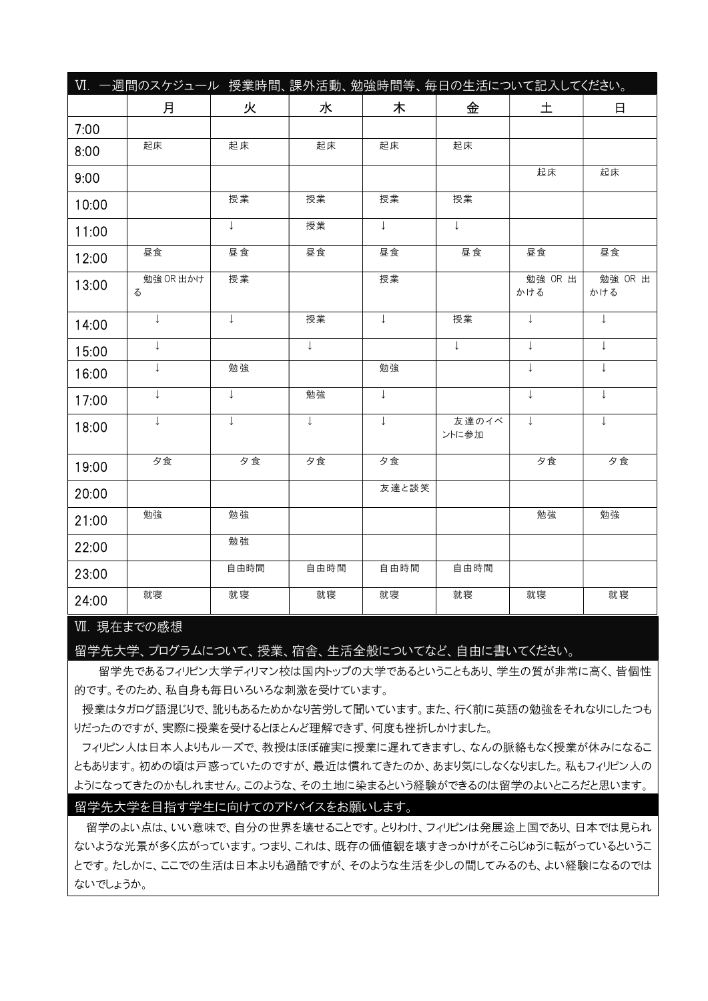|       | VI. 一週間のスケジュール 授業時間、課外活動、勉強時間等、毎日の生活について記入してください。 |              |              |              |                |                |                |
|-------|---------------------------------------------------|--------------|--------------|--------------|----------------|----------------|----------------|
|       | 月                                                 | 火            | 水            | 木            | 金              | 土              | 日              |
| 7:00  |                                                   |              |              |              |                |                |                |
| 8:00  | 起床                                                | 起床           | 起床           | 起床           | 起床             |                |                |
| 9:00  |                                                   |              |              |              |                | 起床             | 起床             |
| 10:00 |                                                   | 授業           | 授業           | 授業           | 授業             |                |                |
| 11:00 |                                                   | $\perp$      | 授業           | $\perp$      | $\perp$        |                |                |
| 12:00 | 昼食                                                | 昼食           | 昼食           | 昼食           | 昼食             | 昼食             | 昼食             |
| 13:00 | 勉強 OR 出かけ<br>る                                    | 授業           |              | 授業           |                | 勉強 OR 出<br>かける | 勉強 OR 出<br>かける |
| 14:00 | $\downarrow$                                      | $\downarrow$ | 授業           | $\downarrow$ | 授業             | $\perp$        | $\downarrow$   |
| 15:00 | $\downarrow$                                      |              | $\downarrow$ |              | $\perp$        | $\perp$        | $\downarrow$   |
| 16:00 | T                                                 | 勉強           |              | 勉強           |                | $\perp$        | $\downarrow$   |
| 17:00 | $\downarrow$                                      | $\downarrow$ | 勉強           | $\downarrow$ |                | $\downarrow$   | $\downarrow$   |
| 18:00 | $\downarrow$                                      | $\downarrow$ | $\downarrow$ | $\downarrow$ | 友達のイベ<br>ントに参加 | $\downarrow$   | $\downarrow$   |
| 19:00 | 夕食                                                | 夕食           | 夕食           | 夕食           |                | 夕食             | 夕食             |
| 20:00 |                                                   |              |              | 友達と談笑        |                |                |                |
| 21:00 | 勉強                                                | 勉強           |              |              |                | 勉強             | 勉強             |
| 22:00 |                                                   | 勉強           |              |              |                |                |                |
| 23:00 |                                                   | 自由時間         | 自由時間         | 自由時間         | 自由時間           |                |                |
| 24:00 | 就寝                                                | 就寝           | 就寝           | 就寝           | 就寝             | 就寝             | 就寝             |

#### Ⅶ. 現在までの感想

留学先大学、プログラムについて、授業、宿舎、生活全般についてなど、自由に書いてください。

留学先であるフィリピン大学ディリマン校は国内トップの大学であるということもあり、学生の質が非常に高く、皆個性 的です。そのため、私自身も毎日いろいろな刺激を受けています。

 授業はタガログ語混じりで、訛りもあるためかなり苦労して聞いています。また、行く前に英語の勉強をそれなりにしたつも りだったのですが、実際に授業を受けるとほとんど理解できず、何度も挫折しかけました。

 フィリピン人は日本人よりもルーズで、教授はほぼ確実に授業に遅れてきますし、なんの脈絡もなく授業が休みになるこ ともあります。初めの頃は戸惑っていたのですが、最近は慣れてきたのか、あまり気にしなくなりました。私もフィリピン人の ようになってきたのかもしれません。このような、その土地に染まるという経験ができるのは留学のよいところだと思います。

#### 留学先大学を目指す学生に向けてのアドバイスをお願いします。

留学のよい点は、いい意味で、自分の世界を壊せることです。とりわけ、フィリピンは発展途上国であり、日本では見られ ないような光景が多く広がっています。つまり、これは、既存の価値観を壊すきっかけがそこらじゅうに転がっているというこ とです。たしかに、ここでの生活は日本よりも過酷ですが、そのような生活を少しの間してみるのも、よい経験になるのでは ないでしょうか。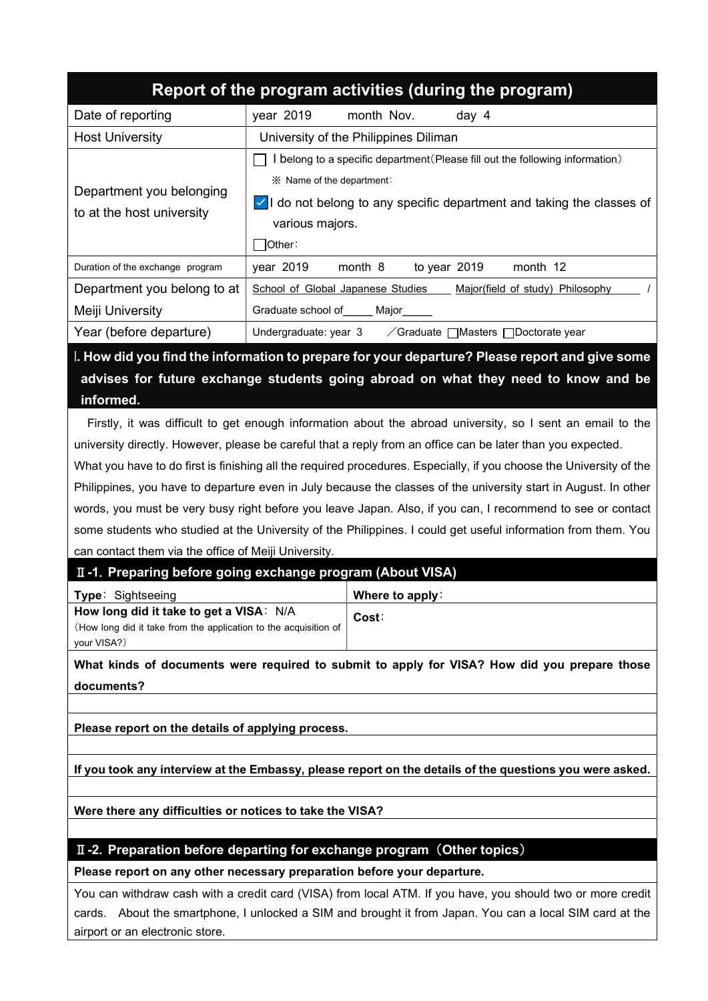|                                                                                        |                                                                               |                                       | Report of the program activities (during the program)                                                               |  |  |  |  |  |  |
|----------------------------------------------------------------------------------------|-------------------------------------------------------------------------------|---------------------------------------|---------------------------------------------------------------------------------------------------------------------|--|--|--|--|--|--|
| Date of reporting                                                                      | year 2019                                                                     | month Nov.                            | day 4                                                                                                               |  |  |  |  |  |  |
| <b>Host University</b>                                                                 |                                                                               | University of the Philippines Diliman |                                                                                                                     |  |  |  |  |  |  |
|                                                                                        | I belong to a specific department (Please fill out the following information) |                                       |                                                                                                                     |  |  |  |  |  |  |
| Department you belonging                                                               | ※ Name of the department:                                                     |                                       |                                                                                                                     |  |  |  |  |  |  |
|                                                                                        | $\vee$ I do not belong to any specific department and taking the classes of   |                                       |                                                                                                                     |  |  |  |  |  |  |
| to at the host university                                                              |                                                                               | various majors.                       |                                                                                                                     |  |  |  |  |  |  |
|                                                                                        | Other:                                                                        |                                       |                                                                                                                     |  |  |  |  |  |  |
| Duration of the exchange program                                                       | year 2019                                                                     | month 8                               | to year 2019<br>month 12                                                                                            |  |  |  |  |  |  |
| Department you belong to at                                                            | School of Global Japanese Studies<br>Major(field of study) Philosophy         |                                       |                                                                                                                     |  |  |  |  |  |  |
| Meiji University                                                                       | Graduate school of _____ Major_____                                           |                                       |                                                                                                                     |  |  |  |  |  |  |
| Year (before departure)<br>Undergraduate: year 3 / Graduate   Masters   Doctorate year |                                                                               |                                       |                                                                                                                     |  |  |  |  |  |  |
|                                                                                        |                                                                               |                                       | I. How did you find the information to prepare for your departure? Please report and give some                      |  |  |  |  |  |  |
|                                                                                        |                                                                               |                                       | advises for future exchange students going abroad on what they need to know and be                                  |  |  |  |  |  |  |
| informed.                                                                              |                                                                               |                                       |                                                                                                                     |  |  |  |  |  |  |
|                                                                                        |                                                                               |                                       | Firstly, it was difficult to get enough information about the abroad university, so I sent an email to the          |  |  |  |  |  |  |
|                                                                                        |                                                                               |                                       | university directly. However, please be careful that a reply from an office can be later than you expected.         |  |  |  |  |  |  |
|                                                                                        |                                                                               |                                       | What you have to do first is finishing all the required procedures. Especially, if you choose the University of the |  |  |  |  |  |  |
|                                                                                        |                                                                               |                                       | Philippines, you have to departure even in July because the classes of the university start in August. In other     |  |  |  |  |  |  |
|                                                                                        |                                                                               |                                       | words, you must be very busy right before you leave Japan. Also, if you can, I recommend to see or contact          |  |  |  |  |  |  |
|                                                                                        |                                                                               |                                       | some students who studied at the University of the Philippines. I could get useful information from them. You       |  |  |  |  |  |  |
| can contact them via the office of Meiji University.                                   |                                                                               |                                       |                                                                                                                     |  |  |  |  |  |  |
| II -1. Preparing before going exchange program (About VISA)                            |                                                                               |                                       |                                                                                                                     |  |  |  |  |  |  |
| Type: Sightseeing                                                                      |                                                                               | Where to apply:                       |                                                                                                                     |  |  |  |  |  |  |
| How long did it take to get a VISA: N/A                                                |                                                                               | Cost:                                 |                                                                                                                     |  |  |  |  |  |  |
| (How long did it take from the application to the acquisition of<br>your VISA?)        |                                                                               |                                       |                                                                                                                     |  |  |  |  |  |  |
|                                                                                        |                                                                               |                                       | What kinds of documents were required to submit to apply for VISA? How did you prepare those                        |  |  |  |  |  |  |
| documents?                                                                             |                                                                               |                                       |                                                                                                                     |  |  |  |  |  |  |
|                                                                                        |                                                                               |                                       |                                                                                                                     |  |  |  |  |  |  |

Please report on the details of applying process.

 $\overline{a}$ 

If you took any interview at the Embassy, please report on the details of the questions you were asked.

Were there any difficulties or notices to take the VISA?

# II-2. Preparation before departing for exchange program (Other topics)

Please report on any other necessary preparation before your departure.

You can withdraw cash with a credit card (VISA) from local ATM. If you have, you should two or more credit cards. About the smartphone, I unlocked a SIM and brought it from Japan. You can a local SIM card at the airport or an electronic store.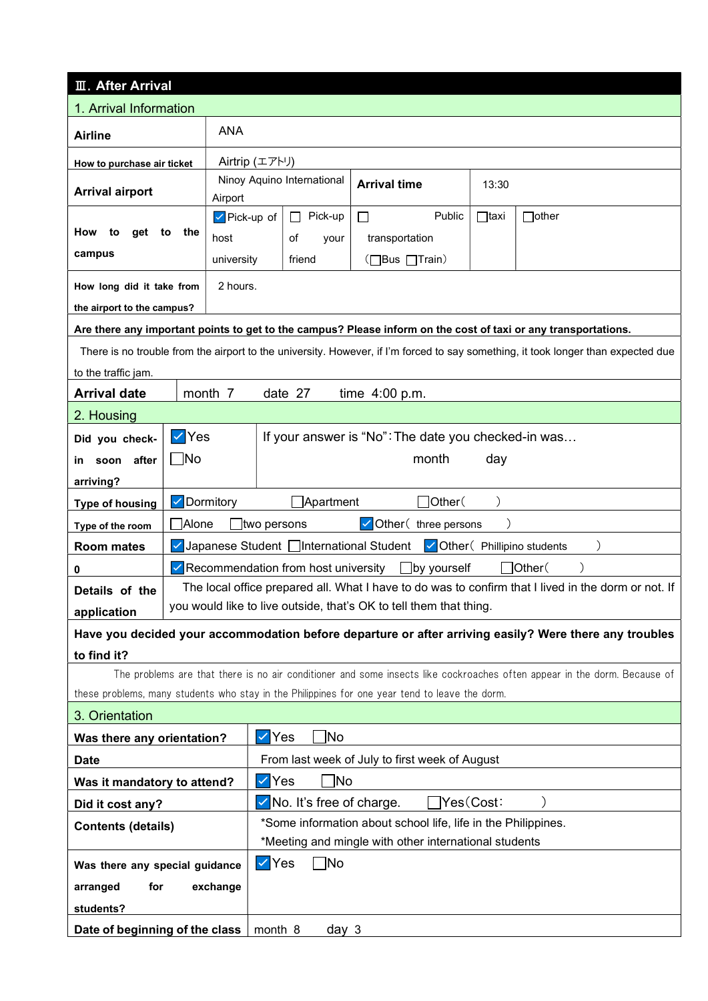| <b>II</b> . After Arrival                         |                                                                                                        |                                                                               |                                                |                                                                                                                        |             |                                                                                                                                   |  |  |  |  |  |
|---------------------------------------------------|--------------------------------------------------------------------------------------------------------|-------------------------------------------------------------------------------|------------------------------------------------|------------------------------------------------------------------------------------------------------------------------|-------------|-----------------------------------------------------------------------------------------------------------------------------------|--|--|--|--|--|
| 1. Arrival Information                            |                                                                                                        |                                                                               |                                                |                                                                                                                        |             |                                                                                                                                   |  |  |  |  |  |
| <b>Airline</b>                                    |                                                                                                        | <b>ANA</b>                                                                    |                                                |                                                                                                                        |             |                                                                                                                                   |  |  |  |  |  |
| How to purchase air ticket                        |                                                                                                        | Airtrip (エアトリ)                                                                |                                                |                                                                                                                        |             |                                                                                                                                   |  |  |  |  |  |
| <b>Arrival airport</b>                            |                                                                                                        | Airport                                                                       | Ninoy Aquino International                     | <b>Arrival time</b>                                                                                                    | 13:30       |                                                                                                                                   |  |  |  |  |  |
|                                                   |                                                                                                        | $\triangledown$ Pick-up of                                                    | Pick-up<br>$\Box$                              | Public<br>$\Box$                                                                                                       | $\Box$ taxi | $\exists$ other                                                                                                                   |  |  |  |  |  |
| How<br>get<br>to                                  | to the                                                                                                 | host                                                                          | οf<br>your                                     | transportation                                                                                                         |             |                                                                                                                                   |  |  |  |  |  |
| campus                                            |                                                                                                        | university                                                                    | friend                                         | (□Bus □Train)                                                                                                          |             |                                                                                                                                   |  |  |  |  |  |
| How long did it take from                         |                                                                                                        | 2 hours.                                                                      |                                                |                                                                                                                        |             |                                                                                                                                   |  |  |  |  |  |
| the airport to the campus?                        |                                                                                                        |                                                                               |                                                |                                                                                                                        |             |                                                                                                                                   |  |  |  |  |  |
|                                                   |                                                                                                        |                                                                               |                                                |                                                                                                                        |             | Are there any important points to get to the campus? Please inform on the cost of taxi or any transportations.                    |  |  |  |  |  |
|                                                   |                                                                                                        |                                                                               |                                                |                                                                                                                        |             | There is no trouble from the airport to the university. However, if I'm forced to say something, it took longer than expected due |  |  |  |  |  |
| to the traffic jam.                               |                                                                                                        |                                                                               |                                                |                                                                                                                        |             |                                                                                                                                   |  |  |  |  |  |
| <b>Arrival date</b>                               |                                                                                                        | month 7                                                                       | date 27                                        | time $4:00$ p.m.                                                                                                       |             |                                                                                                                                   |  |  |  |  |  |
| 2. Housing                                        |                                                                                                        |                                                                               |                                                |                                                                                                                        |             |                                                                                                                                   |  |  |  |  |  |
| Did you check-                                    | l✓∣Yes                                                                                                 |                                                                               |                                                | If your answer is "No": The date you checked-in was                                                                    |             |                                                                                                                                   |  |  |  |  |  |
| in soon after                                     | $\Box$ No                                                                                              |                                                                               |                                                | month                                                                                                                  | day         |                                                                                                                                   |  |  |  |  |  |
| arriving?                                         |                                                                                                        |                                                                               |                                                |                                                                                                                        |             |                                                                                                                                   |  |  |  |  |  |
| <b>Type of housing</b>                            |                                                                                                        | $\Box$ Other $($<br>V Dormitory<br>]Apartment                                 |                                                |                                                                                                                        |             |                                                                                                                                   |  |  |  |  |  |
| Type of the room                                  |                                                                                                        | Alone<br>Other (three persons<br>two persons                                  |                                                |                                                                                                                        |             |                                                                                                                                   |  |  |  |  |  |
| <b>Room mates</b>                                 |                                                                                                        | √Japanese Student   International Student   √Other ( Phillipino students      |                                                |                                                                                                                        |             |                                                                                                                                   |  |  |  |  |  |
| 0                                                 |                                                                                                        | Other(<br>$\vee$ Recommendation from host university<br>$\square$ by yourself |                                                |                                                                                                                        |             |                                                                                                                                   |  |  |  |  |  |
| Details of the                                    |                                                                                                        |                                                                               |                                                |                                                                                                                        |             | The local office prepared all. What I have to do was to confirm that I lived in the dorm or not. If                               |  |  |  |  |  |
| application                                       |                                                                                                        | you would like to live outside, that's OK to tell them that thing.            |                                                |                                                                                                                        |             |                                                                                                                                   |  |  |  |  |  |
|                                                   | Have you decided your accommodation before departure or after arriving easily? Were there any troubles |                                                                               |                                                |                                                                                                                        |             |                                                                                                                                   |  |  |  |  |  |
| to find it?                                       |                                                                                                        |                                                                               |                                                |                                                                                                                        |             |                                                                                                                                   |  |  |  |  |  |
|                                                   |                                                                                                        |                                                                               |                                                |                                                                                                                        |             | The problems are that there is no air conditioner and some insects like cockroaches often appear in the dorm. Because of          |  |  |  |  |  |
|                                                   |                                                                                                        |                                                                               |                                                | these problems, many students who stay in the Philippines for one year tend to leave the dorm.                         |             |                                                                                                                                   |  |  |  |  |  |
| 3. Orientation                                    |                                                                                                        |                                                                               |                                                |                                                                                                                        |             |                                                                                                                                   |  |  |  |  |  |
| Was there any orientation?                        |                                                                                                        |                                                                               | ้∣No<br><b>Yes</b>                             |                                                                                                                        |             |                                                                                                                                   |  |  |  |  |  |
| <b>Date</b>                                       |                                                                                                        |                                                                               | From last week of July to first week of August |                                                                                                                        |             |                                                                                                                                   |  |  |  |  |  |
| Was it mandatory to attend?                       |                                                                                                        |                                                                               | No]<br><b>Yes</b>                              |                                                                                                                        |             |                                                                                                                                   |  |  |  |  |  |
| Did it cost any?                                  |                                                                                                        |                                                                               | No. It's free of charge.                       |                                                                                                                        | Yes(Cost:   |                                                                                                                                   |  |  |  |  |  |
| <b>Contents (details)</b>                         |                                                                                                        |                                                                               |                                                | *Some information about school life, life in the Philippines.<br>*Meeting and mingle with other international students |             |                                                                                                                                   |  |  |  |  |  |
|                                                   |                                                                                                        | $ $ $\vee$ Yes                                                                | $\neg$ No                                      |                                                                                                                        |             |                                                                                                                                   |  |  |  |  |  |
| Was there any special guidance<br>arranged<br>for |                                                                                                        | exchange                                                                      |                                                |                                                                                                                        |             |                                                                                                                                   |  |  |  |  |  |
| students?                                         |                                                                                                        |                                                                               |                                                |                                                                                                                        |             |                                                                                                                                   |  |  |  |  |  |
|                                                   |                                                                                                        | month 8                                                                       |                                                |                                                                                                                        |             |                                                                                                                                   |  |  |  |  |  |
| Date of beginning of the class                    |                                                                                                        |                                                                               | day 3                                          |                                                                                                                        |             |                                                                                                                                   |  |  |  |  |  |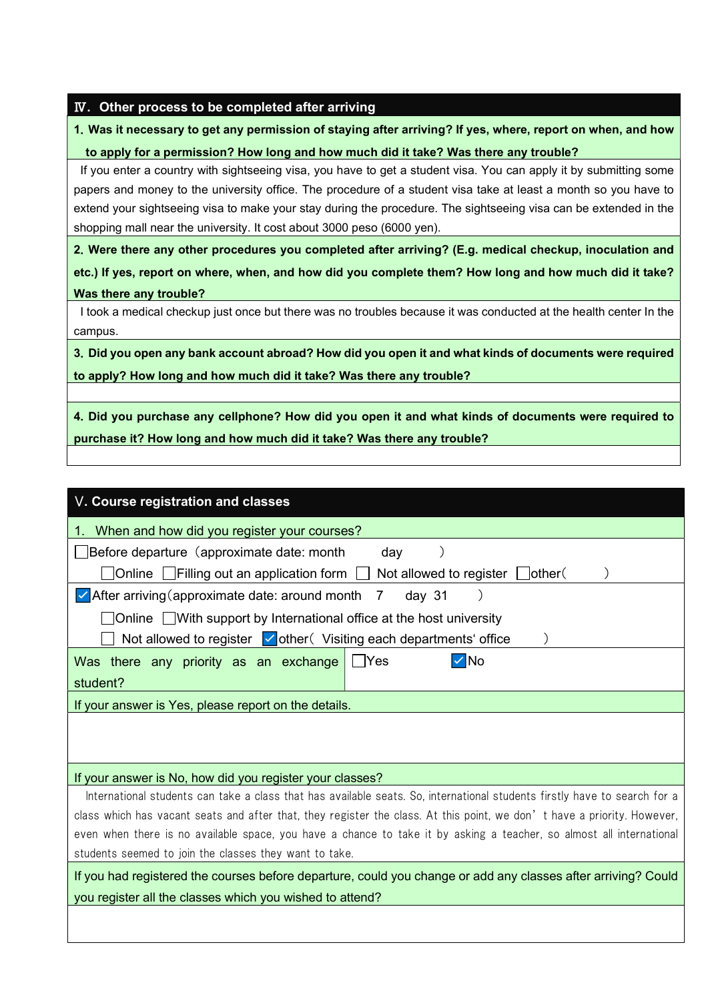|  |  |  | IV. Other process to be completed after arriving |
|--|--|--|--------------------------------------------------|
|--|--|--|--------------------------------------------------|

## 1.Was it necessary to get any permission of staying after arriving? If yes, where, report on when, and how to apply for a permission? How long and how much did it take? Was there any trouble?

If you enter a country with sightseeing visa, you have to get a student visa. You can apply it by submitting some papers and money to the university office. The procedure of a student visa take at least a month so you have to extend your sightseeing visa to make your stay during the procedure. The sightseeing visa can be extended in the shopping mall near the university. It cost about 3000 peso (6000 yen).

2.Were there any other procedures you completed after arriving? (E.g. medical checkup, inoculation and etc.) If yes, report on where, when, and how did you complete them? How long and how much did it take? Was there any trouble?

I took a medical checkup just once but there was no troubles because it was conducted at the health center In the campus.

3.Did you open any bank account abroad? How did you open it and what kinds of documents were required to apply? How long and how much did it take? Was there any trouble?

4.Did you purchase any cellphone? How did you open it and what kinds of documents were required to purchase it? How long and how much did it take? Was there any trouble?

| V. Course registration and classes                                                                                        |  |  |  |  |  |  |  |  |  |
|---------------------------------------------------------------------------------------------------------------------------|--|--|--|--|--|--|--|--|--|
| When and how did you register your courses?                                                                               |  |  |  |  |  |  |  |  |  |
| Before departure (approximate date: month<br>day                                                                          |  |  |  |  |  |  |  |  |  |
| ]Online $\Box$ Filling out an application form $\Box$<br>Not allowed to register $\Box$<br>lother(                        |  |  |  |  |  |  |  |  |  |
| $\vee$ After arriving (approximate date: around month<br>day 31<br>7                                                      |  |  |  |  |  |  |  |  |  |
| △ Online △ With support by International office at the host university                                                    |  |  |  |  |  |  |  |  |  |
| Not allowed to register $\vee$ other (Visiting each departments' office                                                   |  |  |  |  |  |  |  |  |  |
| √∣No<br>- IYes<br>Was there any priority as an exchange                                                                   |  |  |  |  |  |  |  |  |  |
| student?                                                                                                                  |  |  |  |  |  |  |  |  |  |
| If your answer is Yes, please report on the details.                                                                      |  |  |  |  |  |  |  |  |  |
|                                                                                                                           |  |  |  |  |  |  |  |  |  |
|                                                                                                                           |  |  |  |  |  |  |  |  |  |
| If your answer is No, how did you register your classes?                                                                  |  |  |  |  |  |  |  |  |  |
| International students can take a class that has available seats. So, international students firstly have to search for a |  |  |  |  |  |  |  |  |  |
| class which has vacant seats and after that, they register the class. At this point, we don't have a priority. However,   |  |  |  |  |  |  |  |  |  |
| even when there is no available space, you have a chance to take it by asking a teacher, so almost all international      |  |  |  |  |  |  |  |  |  |
| students seemed to join the classes they want to take.                                                                    |  |  |  |  |  |  |  |  |  |
| If you had registered the courses before departure, could you change or add any classes after arriving? Could             |  |  |  |  |  |  |  |  |  |
| you register all the classes which you wished to attend?                                                                  |  |  |  |  |  |  |  |  |  |
|                                                                                                                           |  |  |  |  |  |  |  |  |  |
|                                                                                                                           |  |  |  |  |  |  |  |  |  |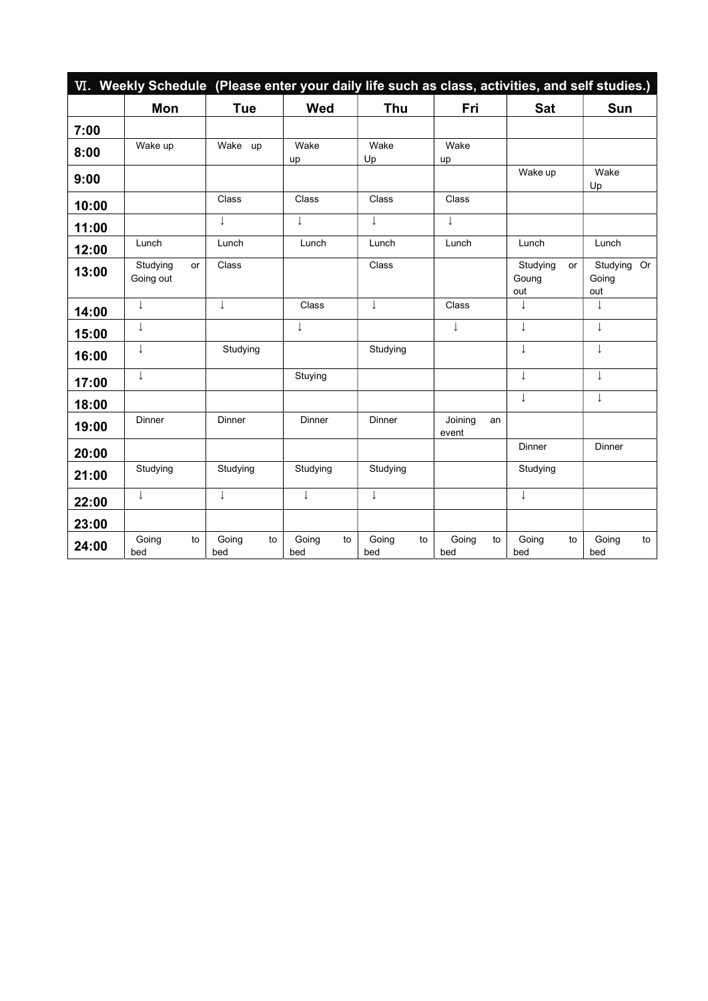|       | VI. Weekly Schedule (Please enter your daily life such as class, activities, and self studies.) |    |                    |              |    |              |    |                  |    |                          |    |                          |    |
|-------|-------------------------------------------------------------------------------------------------|----|--------------------|--------------|----|--------------|----|------------------|----|--------------------------|----|--------------------------|----|
|       | Mon                                                                                             |    | <b>Tue</b>         | <b>Wed</b>   |    | Thu          |    | Fri              |    | <b>Sat</b>               |    | Sun                      |    |
| 7:00  |                                                                                                 |    |                    |              |    |              |    |                  |    |                          |    |                          |    |
| 8:00  | Wake up                                                                                         |    | Wake up            | Wake<br>up   |    | Wake<br>Up   |    | Wake<br>up       |    |                          |    |                          |    |
| 9:00  |                                                                                                 |    |                    |              |    |              |    |                  |    | Wake up                  |    | Wake<br>Up               |    |
| 10:00 |                                                                                                 |    | Class              | Class        |    | Class        |    | Class            |    |                          |    |                          |    |
| 11:00 |                                                                                                 |    | J.                 | $\downarrow$ |    | T            |    | $\downarrow$     |    |                          |    |                          |    |
| 12:00 | Lunch                                                                                           |    | Lunch              | Lunch        |    | Lunch        |    | Lunch            |    | Lunch                    |    | Lunch                    |    |
| 13:00 | Studying<br>Going out                                                                           | or | Class              |              |    | Class        |    |                  |    | Studying<br>Goung<br>out | or | Studying<br>Going<br>out | Or |
| 14:00 | ↓                                                                                               |    | T                  | Class        |    | ↓            |    | Class            |    | ↓                        |    | ↓                        |    |
| 15:00 | ↓                                                                                               |    |                    | $\downarrow$ |    |              |    | $\downarrow$     |    | $\downarrow$             |    | ↓                        |    |
| 16:00 | T                                                                                               |    | Studying           |              |    | Studying     |    |                  |    | $\downarrow$             |    | T                        |    |
| 17:00 | $\downarrow$                                                                                    |    |                    | Stuying      |    |              |    |                  |    | $\downarrow$             |    | T                        |    |
| 18:00 |                                                                                                 |    |                    |              |    |              |    |                  |    | ↓                        |    | ↓                        |    |
| 19:00 | Dinner                                                                                          |    | Dinner             | Dinner       |    | Dinner       |    | Joining<br>event | an |                          |    |                          |    |
| 20:00 |                                                                                                 |    |                    |              |    |              |    |                  |    | Dinner                   |    | Dinner                   |    |
| 21:00 | Studying                                                                                        |    | Studying           | Studying     |    | Studying     |    |                  |    | Studying                 |    |                          |    |
| 22:00 | ↓                                                                                               |    |                    | ↓            |    | ↓            |    |                  |    | $\downarrow$             |    |                          |    |
| 23:00 |                                                                                                 |    |                    |              |    |              |    |                  |    |                          |    |                          |    |
| 24:00 | Going<br>bed                                                                                    | to | Going<br>to<br>bed | Going<br>bed | to | Going<br>bed | to | Going<br>bed     | to | Going<br>bed             | to | Going<br>bed             | to |